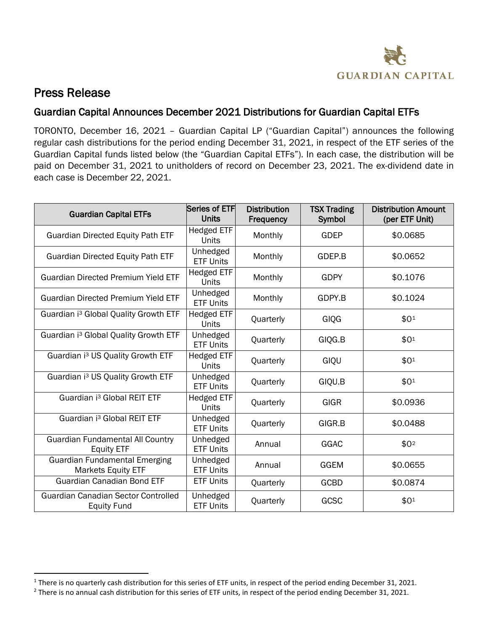

## Press Release

 $\overline{a}$ 

## Guardian Capital Announces December 2021 Distributions for Guardian Capital ETFs

TORONTO, December 16, 2021 – Guardian Capital LP ("Guardian Capital") announces the following regular cash distributions for the period ending December 31, 2021, in respect of the ETF series of the Guardian Capital funds listed below (the "Guardian Capital ETFs"). In each case, the distribution will be paid on December 31, 2021 to unitholders of record on December 23, 2021. The ex-dividend date in each case is December 22, 2021.

| <b>Guardian Capital ETFs</b>                                      | Series of ETF<br><b>Units</b>     | <b>Distribution</b><br>Frequency | <b>TSX Trading</b><br>Symbol | <b>Distribution Amount</b><br>(per ETF Unit) |
|-------------------------------------------------------------------|-----------------------------------|----------------------------------|------------------------------|----------------------------------------------|
| <b>Guardian Directed Equity Path ETF</b>                          | <b>Hedged ETF</b><br>Units        | Monthly                          | <b>GDEP</b>                  | \$0.0685                                     |
| <b>Guardian Directed Equity Path ETF</b>                          | Unhedged<br><b>ETF Units</b>      | Monthly                          | GDEP.B                       | \$0.0652                                     |
| <b>Guardian Directed Premium Yield ETF</b>                        | <b>Hedged ETF</b><br>Units        | Monthly                          | <b>GDPY</b>                  | \$0.1076                                     |
| <b>Guardian Directed Premium Yield ETF</b>                        | Unhedged<br><b>ETF Units</b>      | Monthly                          | GDPY.B                       | \$0.1024                                     |
| Guardian i <sup>3</sup> Global Quality Growth ETF                 | <b>Hedged ETF</b><br><b>Units</b> | Quarterly                        | GIQG                         | \$01                                         |
| Guardian i <sup>3</sup> Global Quality Growth ETF                 | Unhedged<br><b>ETF Units</b>      | Quarterly                        | GIQG.B                       | \$01                                         |
| Guardian i <sup>3</sup> US Quality Growth ETF                     | <b>Hedged ETF</b><br>Units        | Quarterly                        | GIQU                         | \$01                                         |
| Guardian i <sup>3</sup> US Quality Growth ETF                     | Unhedged<br><b>ETF Units</b>      | Quarterly                        | GIQU.B                       | \$01                                         |
| Guardian i <sup>3</sup> Global REIT ETF                           | Hedged ETF<br>Units               | Quarterly                        | <b>GIGR</b>                  | \$0.0936                                     |
| Guardian i <sup>3</sup> Global REIT ETF                           | Unhedged<br><b>ETF Units</b>      | Quarterly                        | GIGR.B                       | \$0.0488                                     |
| <b>Guardian Fundamental All Country</b><br><b>Equity ETF</b>      | Unhedged<br><b>ETF Units</b>      | Annual                           | GGAC                         | \$0 <sup>2</sup>                             |
| <b>Guardian Fundamental Emerging</b><br><b>Markets Equity ETF</b> | Unhedged<br><b>ETF Units</b>      | Annual                           | <b>GGEM</b>                  | \$0.0655                                     |
| <b>Guardian Canadian Bond ETF</b>                                 | <b>ETF Units</b>                  | Quarterly                        | <b>GCBD</b>                  | \$0.0874                                     |
| Guardian Canadian Sector Controlled<br><b>Equity Fund</b>         | Unhedged<br><b>ETF Units</b>      | Quarterly                        | GCSC                         | \$01                                         |

<sup>&</sup>lt;sup>1</sup> There is no quarterly cash distribution for this series of ETF units, in respect of the period ending December 31, 2021.<br><sup>2</sup> There is no annual cash distribution for this series of ETF units, in respect of the period